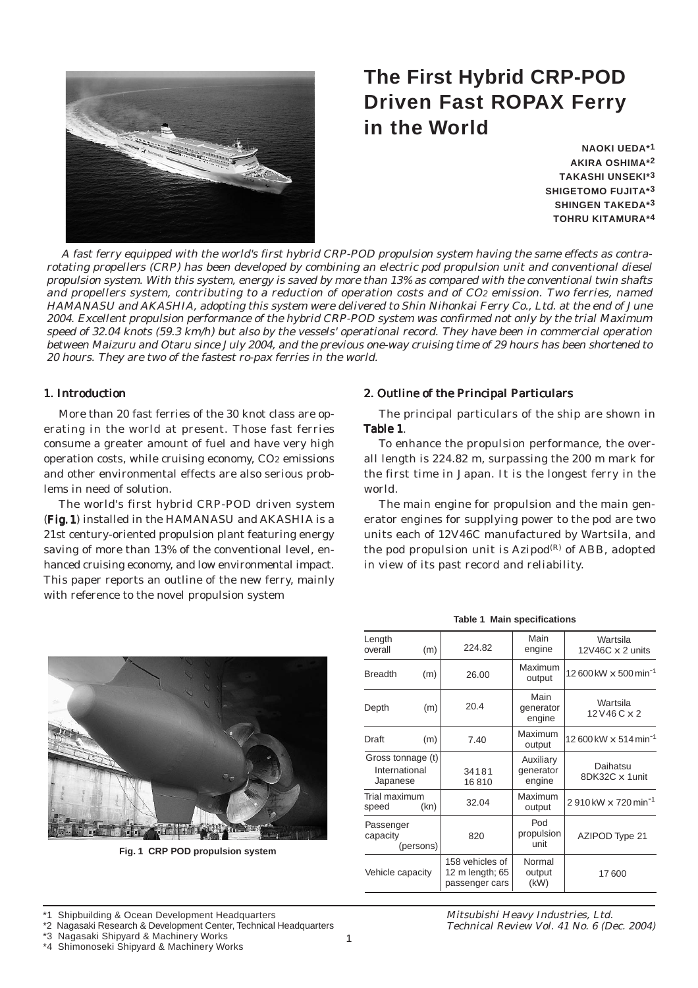

# **The First Hybrid CRP-POD Driven Fast ROPAX Ferry in the World**

**NAOKI UEDA\*1 AKIRA OSHIMA\*2 TAKASHI UNSEKI\*3 SHIGETOMO FUJITA\*3 SHINGEN TAKEDA\*3 TOHRU KITAMURA\*4**

A fast ferry equipped with the world's first hybrid CRP-POD propulsion system having the same effects as contrarotating propellers (CRP) has been developed by combining an electric pod propulsion unit and conventional diesel propulsion system. With this system, energy is saved by more than 13% as compared with the conventional twin shafts and propellers system, contributing to a reduction of operation costs and of CO2 emission. Two ferries, named HAMANASU and AKASHIA, adopting this system were delivered to Shin Nihonkai Ferry Co., Ltd. at the end of June 2004. Excellent propulsion performance of the hybrid CRP-POD system was confirmed not only by the trial Maximum speed of 32.04 knots (59.3 km/h) but also by the vessels' operational record. They have been in commercial operation between Maizuru and Otaru since July 2004, and the previous one-way cruising time of 29 hours has been shortened to 20 hours. They are two of the fastest ro-pax ferries in the world.

#### 1. Introduction

More than 20 fast ferries of the 30 knot class are operating in the world at present. Those fast ferries consume a greater amount of fuel and have very high operation costs, while cruising economy, CO2 emissions and other environmental effects are also serious problems in need of solution.

The world's first hybrid CRP-POD driven system (Fig. 1) installed in the HAMANASU and AKASHIA is a 21st century-oriented propulsion plant featuring energy saving of more than 13% of the conventional level, enhanced cruising economy, and low environmental impact. This paper reports an outline of the new ferry, mainly with reference to the novel propulsion system



**Fig. 1 CRP POD propulsion system**

#### 2. Outline of the Principal Particulars

The principal particulars of the ship are shown in Table 1.

To enhance the propulsion performance, the overall length is 224.82 m, surpassing the 200 m mark for the first time in Japan. It is the longest ferry in the world.

The main engine for propulsion and the main generator engines for supplying power to the pod are two units each of 12V46C manufactured by Wartsila, and the pod propulsion unit is  $Azipod<sup>(R)</sup>$  of ABB, adopted in view of its past record and reliability.

|  |  |  | <b>Table 1 Main specifications</b> |
|--|--|--|------------------------------------|
|--|--|--|------------------------------------|

| Length<br>overall                              | (m)       | 224.82                                               | Main<br>engine                   | Wartsila<br>12V46C $\times$ 2 units |  |  |
|------------------------------------------------|-----------|------------------------------------------------------|----------------------------------|-------------------------------------|--|--|
| <b>Breadth</b>                                 | (m)       | 26.00                                                | Maximum<br>output                | 12 600 kW x 500 min <sup>-1</sup>   |  |  |
| Depth                                          | (m)       | 20.4                                                 | Main<br>generator<br>engine      | Wartsila<br>$12V46C \times 2$       |  |  |
| Draft                                          | (m)       | 7.40                                                 | Maximum<br>output                | 12 600 kW x 514 min <sup>-1</sup>   |  |  |
| Gross tonnage (t)<br>International<br>Japanese |           | 34181<br>16810                                       | Auxiliary<br>generator<br>engine | Daihatsu<br>8DK32C x 1unit          |  |  |
| Trial maximum<br>speed                         | (kn)      | 32.04                                                | Maximum<br>output                | 2910kW x 720 min <sup>-1</sup>      |  |  |
| Passenger<br>capacity                          | (persons) | 820                                                  | Pod<br>propulsion<br>unit        | AZIPOD Type 21                      |  |  |
| Vehicle capacity                               |           | 158 vehicles of<br>12 m length; 65<br>passenger cars | Normal<br>output<br>(kW)         | 17600                               |  |  |

\*4 Shimonoseki Shipyard & Machinery Works

Shipbuilding & Ocean Development Headquarters

<sup>\*2</sup> Nagasaki Research & Development Center, Technical Headquarters

<sup>\*3</sup> Nagasaki Shipyard & Machinery Works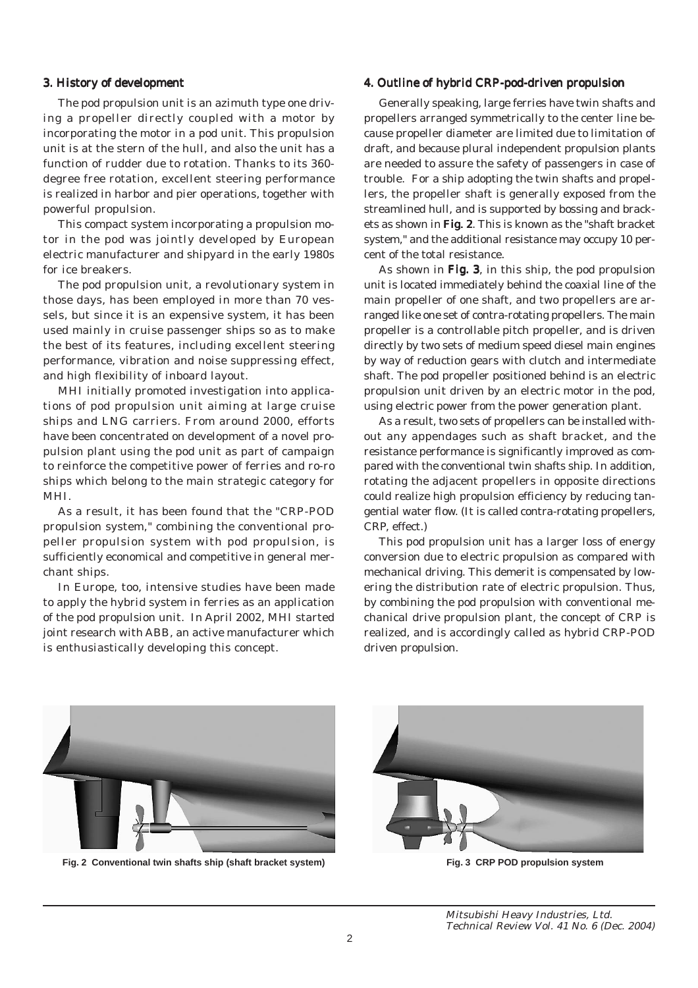### 3. History of development

The pod propulsion unit is an azimuth type one driving a propeller directly coupled with a motor by incorporating the motor in a pod unit. This propulsion unit is at the stern of the hull, and also the unit has a function of rudder due to rotation. Thanks to its 360 degree free rotation, excellent steering performance is realized in harbor and pier operations, together with powerful propulsion.

This compact system incorporating a propulsion motor in the pod was jointly developed by European electric manufacturer and shipyard in the early 1980s for ice breakers.

The pod propulsion unit, a revolutionary system in those days, has been employed in more than 70 vessels, but since it is an expensive system, it has been used mainly in cruise passenger ships so as to make the best of its features, including excellent steering performance, vibration and noise suppressing effect, and high flexibility of inboard layout.

MHI initially promoted investigation into applications of pod propulsion unit aiming at large cruise ships and LNG carriers. From around 2000, efforts have been concentrated on development of a novel propulsion plant using the pod unit as part of campaign to reinforce the competitive power of ferries and ro-ro ships which belong to the main strategic category for MHI.

As a result, it has been found that the "CRP-POD propulsion system," combining the conventional propeller propulsion system with pod propulsion, is sufficiently economical and competitive in general merchant ships.

In Europe, too, intensive studies have been made to apply the hybrid system in ferries as an application of the pod propulsion unit. In April 2002, MHI started joint research with ABB, an active manufacturer which is enthusiastically developing this concept.

## 4. Outline of hybrid CRP-pod-driven propulsion

Generally speaking, large ferries have twin shafts and propellers arranged symmetrically to the center line because propeller diameter are limited due to limitation of draft, and because plural independent propulsion plants are needed to assure the safety of passengers in case of trouble. For a ship adopting the twin shafts and propellers, the propeller shaft is generally exposed from the streamlined hull, and is supported by bossing and brackets as shown in Fig. 2. This is known as the "shaft bracket" system," and the additional resistance may occupy 10 percent of the total resistance.

As shown in Fig. 3, in this ship, the pod propulsion unit is located immediately behind the coaxial line of the main propeller of one shaft, and two propellers are arranged like one set of contra-rotating propellers. The main propeller is a controllable pitch propeller, and is driven directly by two sets of medium speed diesel main engines by way of reduction gears with clutch and intermediate shaft. The pod propeller positioned behind is an electric propulsion unit driven by an electric motor in the pod, using electric power from the power generation plant.

As a result, two sets of propellers can be installed without any appendages such as shaft bracket, and the resistance performance is significantly improved as compared with the conventional twin shafts ship. In addition, rotating the adjacent propellers in opposite directions could realize high propulsion efficiency by reducing tangential water flow. (It is called contra-rotating propellers, CRP, effect.)

This pod propulsion unit has a larger loss of energy conversion due to electric propulsion as compared with mechanical driving. This demerit is compensated by lowering the distribution rate of electric propulsion. Thus, by combining the pod propulsion with conventional mechanical drive propulsion plant, the concept of CRP is realized, and is accordingly called as hybrid CRP-POD driven propulsion.



**Fig. 2 Conventional twin shafts ship (shaft bracket system) Fig. 3 CRP POD propulsion system**

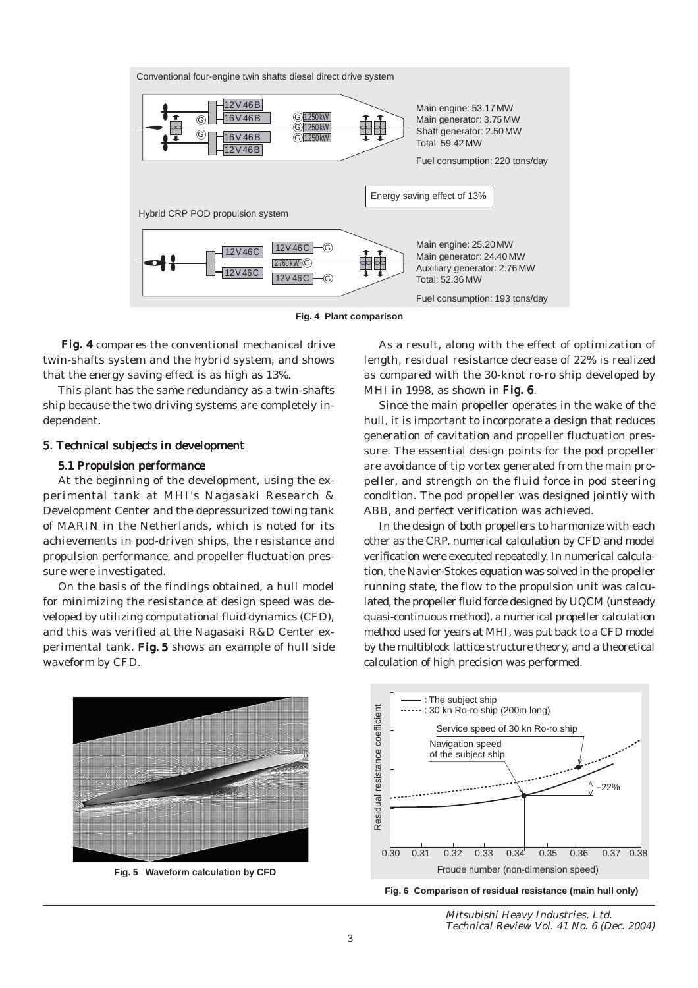

**Fig. 4 Plant comparison**

Fig. 4 compares the conventional mechanical drive twin-shafts system and the hybrid system, and shows that the energy saving effect is as high as 13%.

This plant has the same redundancy as a twin-shafts ship because the two driving systems are completely independent.

#### 5. Technical subjects in development

#### 5.1 Propulsion performance

At the beginning of the development, using the experimental tank at MHI's Nagasaki Research & Development Center and the depressurized towing tank of MARIN in the Netherlands, which is noted for its achievements in pod-driven ships, the resistance and propulsion performance, and propeller fluctuation pressure were investigated.

On the basis of the findings obtained, a hull model for minimizing the resistance at design speed was developed by utilizing computational fluid dynamics (CFD), and this was verified at the Nagasaki R&D Center experimental tank. Fig. 5 shows an example of hull side waveform by CFD.

As a result, along with the effect of optimization of length, residual resistance decrease of 22% is realized as compared with the 30-knot ro-ro ship developed by MHI in 1998, as shown in Fig.  $6$ .

Since the main propeller operates in the wake of the hull, it is important to incorporate a design that reduces generation of cavitation and propeller fluctuation pressure. The essential design points for the pod propeller are avoidance of tip vortex generated from the main propeller, and strength on the fluid force in pod steering condition. The pod propeller was designed jointly with ABB, and perfect verification was achieved.

In the design of both propellers to harmonize with each other as the CRP, numerical calculation by CFD and model verification were executed repeatedly. In numerical calculation, the Navier-Stokes equation was solved in the propeller running state, the flow to the propulsion unit was calculated, the propeller fluid force designed by UQCM (unsteady quasi-continuous method), a numerical propeller calculation method used for years at MHI, was put back to a CFD model by the multiblock lattice structure theory, and a theoretical calculation of high precision was performed.



**Fig. 5 Waveform calculation by CFD**





Mitsubishi Heavy Industries, Ltd. Technical Review Vol. 41 No. 6 (Dec. 2004)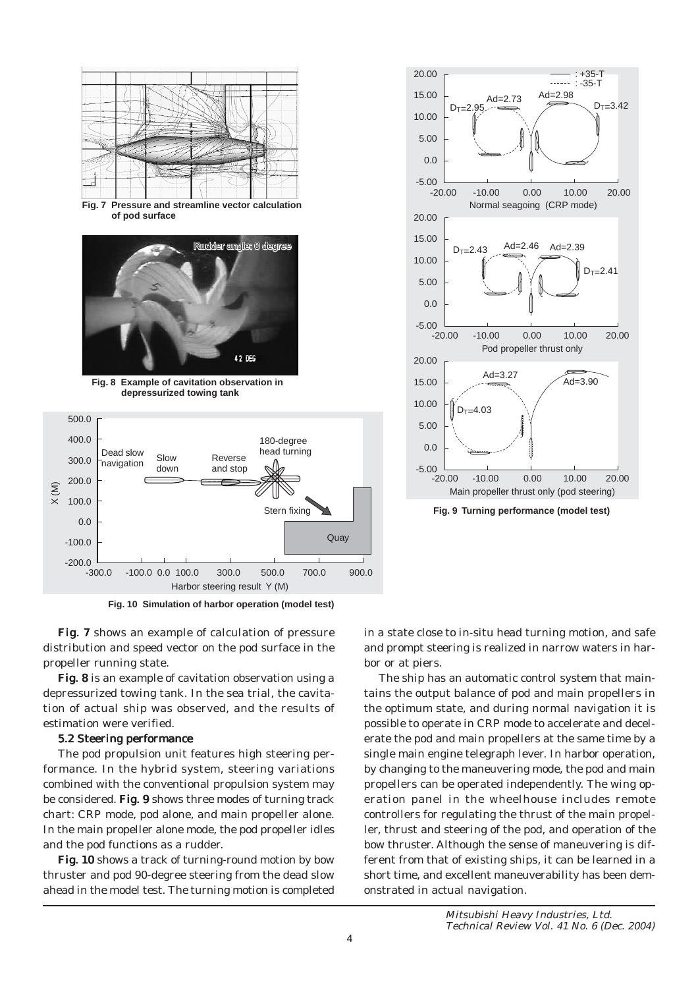

**Fig. 10 Simulation of harbor operation (model test)**

Fig. 7 shows an example of calculation of pressure distribution and speed vector on the pod surface in the propeller running state.

Fig. 8 is an example of cavitation observation using a depressurized towing tank. In the sea trial, the cavitation of actual ship was observed, and the results of estimation were verified.

#### 5.2 Steering performance

The pod propulsion unit features high steering performance. In the hybrid system, steering variations combined with the conventional propulsion system may be considered. Fig. 9 shows three modes of turning track chart: CRP mode, pod alone, and main propeller alone. In the main propeller alone mode, the pod propeller idles and the pod functions as a rudder.

Fig. 10 shows a track of turning-round motion by bow thruster and pod 90-degree steering from the dead slow ahead in the model test. The turning motion is completed in a state close to in-situ head turning motion, and safe and prompt steering is realized in narrow waters in harbor or at piers.

20.00

20.00

The ship has an automatic control system that maintains the output balance of pod and main propellers in the optimum state, and during normal navigation it is possible to operate in CRP mode to accelerate and decelerate the pod and main propellers at the same time by a single main engine telegraph lever. In harbor operation, by changing to the maneuvering mode, the pod and main propellers can be operated independently. The wing operation panel in the wheelhouse includes remote controllers for regulating the thrust of the main propeller, thrust and steering of the pod, and operation of the bow thruster. Although the sense of maneuvering is different from that of existing ships, it can be learned in a short time, and excellent maneuverability has been demonstrated in actual navigation.